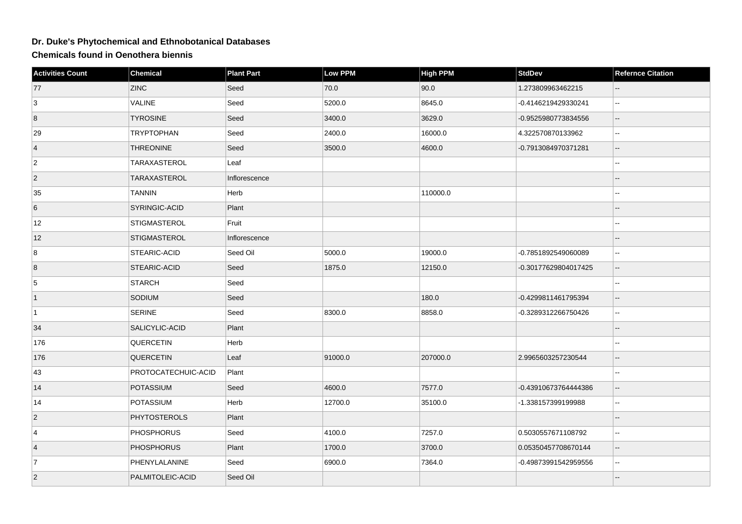## **Dr. Duke's Phytochemical and Ethnobotanical Databases**

**Chemicals found in Oenothera biennis**

| <b>Activities Count</b> | <b>Chemical</b>     | <b>Plant Part</b> | Low PPM | <b>High PPM</b> | <b>StdDev</b>        | <b>Refernce Citation</b> |
|-------------------------|---------------------|-------------------|---------|-----------------|----------------------|--------------------------|
| 77                      | <b>ZINC</b>         | Seed              | 70.0    | 90.0            | 1.273809963462215    |                          |
| 3                       | <b>VALINE</b>       | Seed              | 5200.0  | 8645.0          | -0.4146219429330241  | $\overline{\phantom{a}}$ |
| 8                       | <b>TYROSINE</b>     | Seed              | 3400.0  | 3629.0          | -0.9525980773834556  |                          |
| 29                      | <b>TRYPTOPHAN</b>   | Seed              | 2400.0  | 16000.0         | 4.322570870133962    | --                       |
| $\vert 4 \vert$         | <b>THREONINE</b>    | Seed              | 3500.0  | 4600.0          | -0.7913084970371281  | $-$                      |
| $\overline{2}$          | TARAXASTEROL        | Leaf              |         |                 |                      |                          |
| $\overline{2}$          | TARAXASTEROL        | Inflorescence     |         |                 |                      |                          |
| 35                      | <b>TANNIN</b>       | Herb              |         | 110000.0        |                      |                          |
| 6                       | SYRINGIC-ACID       | Plant             |         |                 |                      |                          |
| 12                      | <b>STIGMASTEROL</b> | Fruit             |         |                 |                      |                          |
| 12                      | <b>STIGMASTEROL</b> | Inflorescence     |         |                 |                      |                          |
| 8                       | STEARIC-ACID        | Seed Oil          | 5000.0  | 19000.0         | -0.7851892549060089  |                          |
| 8                       | STEARIC-ACID        | Seed              | 1875.0  | 12150.0         | -0.30177629804017425 |                          |
| $\sqrt{5}$              | <b>STARCH</b>       | Seed              |         |                 |                      |                          |
| $\vert$ 1               | SODIUM              | Seed              |         | 180.0           | -0.4299811461795394  |                          |
| $\overline{1}$          | <b>SERINE</b>       | Seed              | 8300.0  | 8858.0          | -0.3289312266750426  | $\overline{a}$           |
| 34                      | SALICYLIC-ACID      | Plant             |         |                 |                      |                          |
| 176                     | <b>QUERCETIN</b>    | Herb              |         |                 |                      |                          |
| 176                     | <b>QUERCETIN</b>    | Leaf              | 91000.0 | 207000.0        | 2.9965603257230544   | --                       |
| 43                      | PROTOCATECHUIC-ACID | Plant             |         |                 |                      | --                       |
| 14                      | <b>POTASSIUM</b>    | Seed              | 4600.0  | 7577.0          | -0.43910673764444386 |                          |
| 14                      | POTASSIUM           | Herb              | 12700.0 | 35100.0         | -1.338157399199988   | $\overline{\phantom{a}}$ |
| $\vert$ 2               | <b>PHYTOSTEROLS</b> | Plant             |         |                 |                      | --                       |
| 4                       | <b>PHOSPHORUS</b>   | Seed              | 4100.0  | 7257.0          | 0.5030557671108792   |                          |
| $\vert$ 4               | <b>PHOSPHORUS</b>   | Plant             | 1700.0  | 3700.0          | 0.05350457708670144  | Ш.                       |
| $\overline{7}$          | PHENYLALANINE       | Seed              | 6900.0  | 7364.0          | -0.49873991542959556 | $\overline{a}$           |
| $\vert$ 2               | PALMITOLEIC-ACID    | Seed Oil          |         |                 |                      |                          |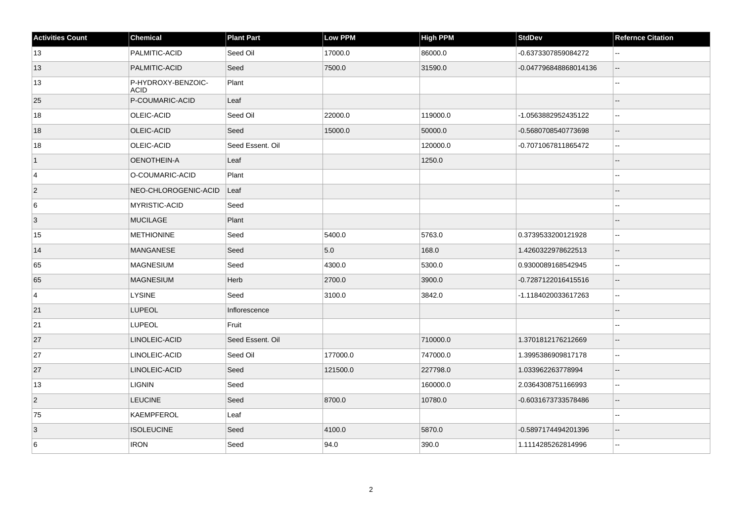| <b>Activities Count</b> | <b>Chemical</b>                   | <b>Plant Part</b> | <b>Low PPM</b> | High PPM | <b>StdDev</b>         | <b>Refernce Citation</b> |
|-------------------------|-----------------------------------|-------------------|----------------|----------|-----------------------|--------------------------|
| 13                      | PALMITIC-ACID                     | Seed Oil          | 17000.0        | 86000.0  | -0.6373307859084272   | $\sim$                   |
| 13                      | PALMITIC-ACID                     | Seed              | 7500.0         | 31590.0  | -0.047796848868014136 | $\mathbf{L}$             |
| 13                      | P-HYDROXY-BENZOIC-<br><b>ACID</b> | Plant             |                |          |                       |                          |
| 25                      | P-COUMARIC-ACID                   | Leaf              |                |          |                       | $\overline{a}$           |
| 18                      | OLEIC-ACID                        | Seed Oil          | 22000.0        | 119000.0 | -1.0563882952435122   | Ξ.                       |
| 18                      | OLEIC-ACID                        | Seed              | 15000.0        | 50000.0  | -0.5680708540773698   | $\overline{\phantom{a}}$ |
| 18                      | OLEIC-ACID                        | Seed Essent. Oil  |                | 120000.0 | -0.7071067811865472   | $\mathbf{u}$             |
| $\vert$ 1               | OENOTHEIN-A                       | Leaf              |                | 1250.0   |                       | $\overline{\phantom{a}}$ |
| 4                       | O-COUMARIC-ACID                   | Plant             |                |          |                       | $\overline{a}$           |
| $\overline{2}$          | NEO-CHLOROGENIC-ACID              | Leaf              |                |          |                       |                          |
| 6                       | MYRISTIC-ACID                     | Seed              |                |          |                       |                          |
| 3                       | <b>MUCILAGE</b>                   | Plant             |                |          |                       | $\overline{a}$           |
| 15                      | <b>METHIONINE</b>                 | Seed              | 5400.0         | 5763.0   | 0.3739533200121928    | $\sim$ $\sim$            |
| 14                      | <b>MANGANESE</b>                  | Seed              | 5.0            | 168.0    | 1.4260322978622513    | $\overline{a}$           |
| 65                      | MAGNESIUM                         | Seed              | 4300.0         | 5300.0   | 0.9300089168542945    | $\ddotsc$                |
| 65                      | <b>MAGNESIUM</b>                  | Herb              | 2700.0         | 3900.0   | -0.7287122016415516   | $\overline{\phantom{a}}$ |
| $\overline{4}$          | <b>LYSINE</b>                     | Seed              | 3100.0         | 3842.0   | -1.1184020033617263   | $\mathbf{u}$             |
| 21                      | <b>LUPEOL</b>                     | Inflorescence     |                |          |                       |                          |
| 21                      | <b>LUPEOL</b>                     | Fruit             |                |          |                       | $\mathbf{u}$             |
| 27                      | LINOLEIC-ACID                     | Seed Essent. Oil  |                | 710000.0 | 1.3701812176212669    | $\overline{\phantom{a}}$ |
| 27                      | LINOLEIC-ACID                     | Seed Oil          | 177000.0       | 747000.0 | 1.3995386909817178    | $\sim$                   |
| 27                      | LINOLEIC-ACID                     | Seed              | 121500.0       | 227798.0 | 1.033962263778994     | $\overline{\phantom{a}}$ |
| 13                      | <b>LIGNIN</b>                     | Seed              |                | 160000.0 | 2.0364308751166993    | $\sim$                   |
| $ 2\rangle$             | <b>LEUCINE</b>                    | Seed              | 8700.0         | 10780.0  | -0.6031673733578486   | $\overline{\phantom{a}}$ |
| 75                      | KAEMPFEROL                        | Leaf              |                |          |                       |                          |
| $\overline{3}$          | <b>ISOLEUCINE</b>                 | Seed              | 4100.0         | 5870.0   | -0.5897174494201396   | $\overline{a}$           |
| $\,6$                   | <b>IRON</b>                       | Seed              | 94.0           | 390.0    | 1.1114285262814996    | $\sim$ $\sim$            |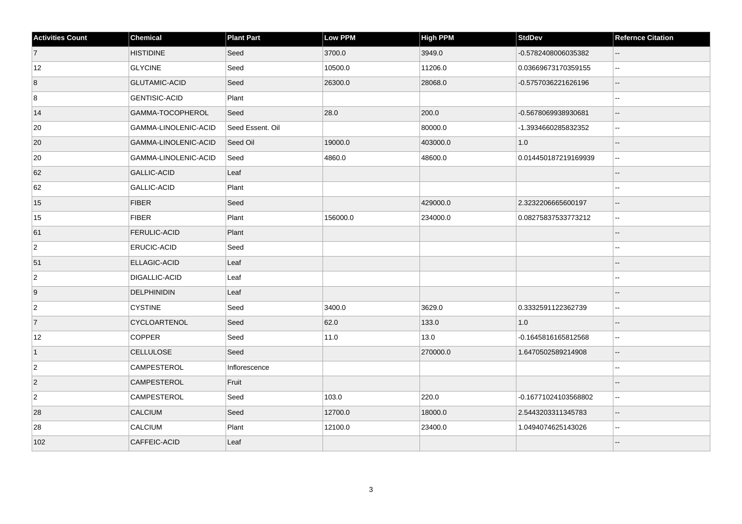| <b>Activities Count</b> | <b>Chemical</b>      | <b>Plant Part</b> | <b>Low PPM</b> | High PPM | <b>StdDev</b>        | <b>Refernce Citation</b> |
|-------------------------|----------------------|-------------------|----------------|----------|----------------------|--------------------------|
| $\vert$ 7               | <b>HISTIDINE</b>     | Seed              | 3700.0         | 3949.0   | -0.5782408006035382  |                          |
| 12                      | <b>GLYCINE</b>       | Seed              | 10500.0        | 11206.0  | 0.03669673170359155  | $\sim$ $\sim$            |
| 8                       | <b>GLUTAMIC-ACID</b> | Seed              | 26300.0        | 28068.0  | -0.5757036221626196  | $\overline{\phantom{a}}$ |
| 8                       | <b>GENTISIC-ACID</b> | Plant             |                |          |                      | $\sim$                   |
| 14                      | GAMMA-TOCOPHEROL     | Seed              | 28.0           | 200.0    | -0.5678069938930681  | $\sim$                   |
| 20                      | GAMMA-LINOLENIC-ACID | Seed Essent. Oil  |                | 80000.0  | -1.3934660285832352  | $\mathbf{L}$             |
| 20                      | GAMMA-LINOLENIC-ACID | Seed Oil          | 19000.0        | 403000.0 | 1.0                  | $\sim$                   |
| 20                      | GAMMA-LINOLENIC-ACID | Seed              | 4860.0         | 48600.0  | 0.014450187219169939 | $\sim$ $\sim$            |
| 62                      | <b>GALLIC-ACID</b>   | Leaf              |                |          |                      |                          |
| 62                      | GALLIC-ACID          | Plant             |                |          |                      |                          |
| 15                      | <b>FIBER</b>         | Seed              |                | 429000.0 | 2.3232206665600197   | $\overline{\phantom{a}}$ |
| 15                      | <b>FIBER</b>         | Plant             | 156000.0       | 234000.0 | 0.08275837533773212  | $\ddotsc$                |
| 61                      | <b>FERULIC-ACID</b>  | Plant             |                |          |                      | $\overline{\phantom{a}}$ |
| $\overline{2}$          | <b>ERUCIC-ACID</b>   | Seed              |                |          |                      | $\sim$                   |
| 51                      | ELLAGIC-ACID         | Leaf              |                |          |                      |                          |
| $\vert$ 2               | DIGALLIC-ACID        | Leaf              |                |          |                      |                          |
| 9                       | <b>DELPHINIDIN</b>   | Leaf              |                |          |                      | $\sim$                   |
| $\overline{2}$          | <b>CYSTINE</b>       | Seed              | 3400.0         | 3629.0   | 0.3332591122362739   | $\sim$                   |
| 7                       | CYCLOARTENOL         | Seed              | 62.0           | 133.0    | 1.0                  | $\overline{\phantom{a}}$ |
| 12                      | <b>COPPER</b>        | Seed              | 11.0           | 13.0     | -0.1645816165812568  | $\ddotsc$                |
| $\vert$ 1               | <b>CELLULOSE</b>     | Seed              |                | 270000.0 | 1.6470502589214908   | $\overline{\phantom{a}}$ |
| $\vert$ 2               | <b>CAMPESTEROL</b>   | Inflorescence     |                |          |                      |                          |
| $\overline{2}$          | <b>CAMPESTEROL</b>   | Fruit             |                |          |                      |                          |
| $\overline{2}$          | <b>CAMPESTEROL</b>   | Seed              | 103.0          | 220.0    | -0.16771024103568802 | $\sim$                   |
| 28                      | CALCIUM              | Seed              | 12700.0        | 18000.0  | 2.5443203311345783   | $-$                      |
| 28                      | CALCIUM              | Plant             | 12100.0        | 23400.0  | 1.0494074625143026   | $\sim$                   |
| 102                     | CAFFEIC-ACID         | Leaf              |                |          |                      |                          |